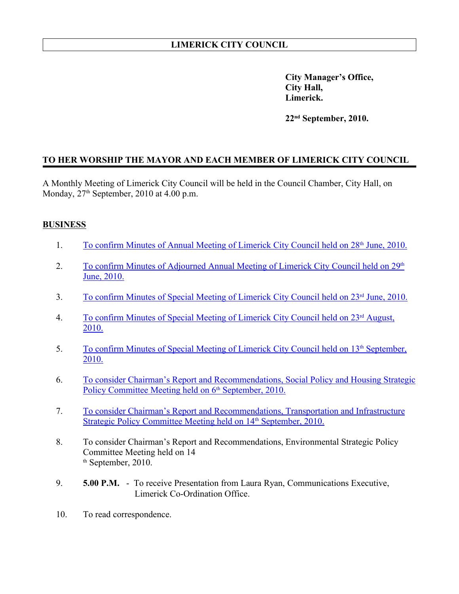**City Manager's Office, City Hall, Limerick.**

**22nd September, 2010.**

## **TO HER WORSHIP THE MAYOR AND EACH MEMBER OF LIMERICK CITY COUNCIL**

A Monthly Meeting of Limerick City Council will be held in the Council Chamber, City Hall, on Monday,  $27<sup>th</sup>$  September, 2010 at 4.00 p.m.

## **BUSINESS**

- 1. To confirm Minutes of Annual Meeting of Limerick City Council held on 28<sup>th</sup> June, 2010.
- 2. To confirm Minutes of Adjourned Annual Meeting of Limerick City Council held on 29<sup>th</sup> June, 2010.
- 3. To confirm Minutes of Special Meeting of Limerick City Council held on 23<sup>rd</sup> June, 2010.
- 4. To confirm Minutes of Special Meeting of Limerick City Council held on 23<sup>rd</sup> August, 2010.
- 5. To confirm Minutes of Special Meeting of Limerick City Council held on 13<sup>th</sup> September, 2010.
- 6. To consider Chairman's Report and Recommendations, Social Policy and Housing Strategic Policy Committee Meeting held on 6<sup>th</sup> September, 2010.
- 7. To consider Chairman's Report and Recommendations, Transportation and Infrastructure Strategic Policy Committee Meeting held on 14<sup>th</sup> September, 2010.
- 8. To consider Chairman's Report and Recommendations, Environmental Strategic Policy Committee Meeting held on 14 th September, 2010.
- 9. **5.00 P.M.** To receive Presentation from Laura Ryan, Communications Executive, Limerick Co-Ordination Office.
- 10. To read correspondence.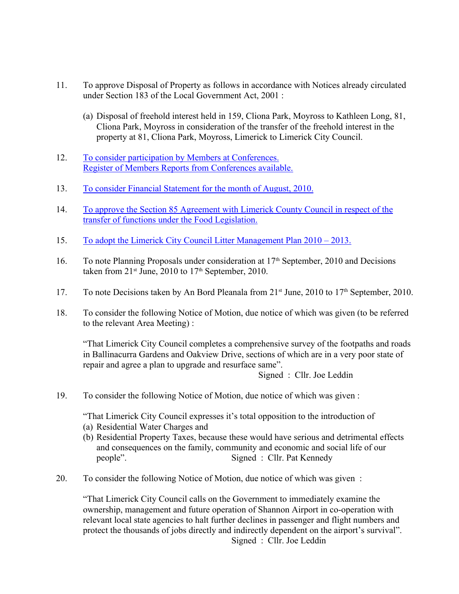- 11. To approve Disposal of Property as follows in accordance with Notices already circulated under Section 183 of the Local Government Act, 2001 :
	- (a) Disposal of freehold interest held in 159, Cliona Park, Moyross to Kathleen Long, 81, Cliona Park, Moyross in consideration of the transfer of the freehold interest in the property at 81, Cliona Park, Moyross, Limerick to Limerick City Council.
- 12. To consider participation by Members at Conferences. Register of Members Reports from Conferences available.
- 13. To consider Financial Statement for the month of August, 2010.
- 14. To approve the Section 85 Agreement with Limerick County Council in respect of the transfer of functions under the Food Legislation.
- 15. To adopt the Limerick City Council Litter Management Plan 2010 2013.
- 16. To note Planning Proposals under consideration at  $17<sup>th</sup>$  September, 2010 and Decisions taken from  $21^{st}$  June,  $2010$  to  $17^{th}$  September,  $2010$ .
- 17. To note Decisions taken by An Bord Pleanala from 21<sup>st</sup> June, 2010 to 17<sup>th</sup> September, 2010.
- 18. To consider the following Notice of Motion, due notice of which was given (to be referred to the relevant Area Meeting) :

"That Limerick City Council completes a comprehensive survey of the footpaths and roads in Ballinacurra Gardens and Oakview Drive, sections of which are in a very poor state of repair and agree a plan to upgrade and resurface same".

Signed : Cllr. Joe Leddin

19. To consider the following Notice of Motion, due notice of which was given :

"That Limerick City Council expresses it's total opposition to the introduction of

- (a) Residential Water Charges and
- (b) Residential Property Taxes, because these would have serious and detrimental effects and consequences on the family, community and economic and social life of our people". Signed : Cllr. Pat Kennedy
- 20. To consider the following Notice of Motion, due notice of which was given :

"That Limerick City Council calls on the Government to immediately examine the ownership, management and future operation of Shannon Airport in co-operation with relevant local state agencies to halt further declines in passenger and flight numbers and protect the thousands of jobs directly and indirectly dependent on the airport's survival". Signed : Cllr. Joe Leddin